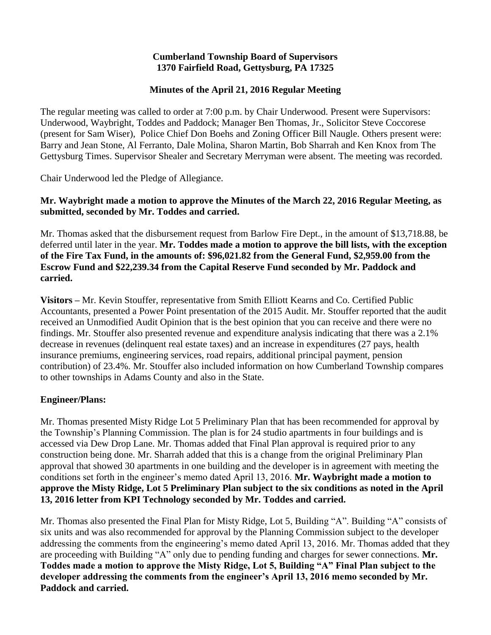#### **Cumberland Township Board of Supervisors 1370 Fairfield Road, Gettysburg, PA 17325**

### **Minutes of the April 21, 2016 Regular Meeting**

The regular meeting was called to order at 7:00 p.m. by Chair Underwood. Present were Supervisors: Underwood, Waybright, Toddes and Paddock; Manager Ben Thomas, Jr., Solicitor Steve Coccorese (present for Sam Wiser), Police Chief Don Boehs and Zoning Officer Bill Naugle. Others present were: Barry and Jean Stone, Al Ferranto, Dale Molina, Sharon Martin, Bob Sharrah and Ken Knox from The Gettysburg Times. Supervisor Shealer and Secretary Merryman were absent. The meeting was recorded.

Chair Underwood led the Pledge of Allegiance.

### **Mr. Waybright made a motion to approve the Minutes of the March 22, 2016 Regular Meeting, as submitted, seconded by Mr. Toddes and carried.**

Mr. Thomas asked that the disbursement request from Barlow Fire Dept., in the amount of \$13,718.88, be deferred until later in the year. **Mr. Toddes made a motion to approve the bill lists, with the exception of the Fire Tax Fund, in the amounts of: \$96,021.82 from the General Fund, \$2,959.00 from the Escrow Fund and \$22,239.34 from the Capital Reserve Fund seconded by Mr. Paddock and carried.**

**Visitors –** Mr. Kevin Stouffer, representative from Smith Elliott Kearns and Co. Certified Public Accountants, presented a Power Point presentation of the 2015 Audit. Mr. Stouffer reported that the audit received an Unmodified Audit Opinion that is the best opinion that you can receive and there were no findings. Mr. Stouffer also presented revenue and expenditure analysis indicating that there was a 2.1% decrease in revenues (delinquent real estate taxes) and an increase in expenditures (27 pays, health insurance premiums, engineering services, road repairs, additional principal payment, pension contribution) of 23.4%. Mr. Stouffer also included information on how Cumberland Township compares to other townships in Adams County and also in the State.

### **Engineer/Plans:**

Mr. Thomas presented Misty Ridge Lot 5 Preliminary Plan that has been recommended for approval by the Township's Planning Commission. The plan is for 24 studio apartments in four buildings and is accessed via Dew Drop Lane. Mr. Thomas added that Final Plan approval is required prior to any construction being done. Mr. Sharrah added that this is a change from the original Preliminary Plan approval that showed 30 apartments in one building and the developer is in agreement with meeting the conditions set forth in the engineer's memo dated April 13, 2016. **Mr. Waybright made a motion to approve the Misty Ridge, Lot 5 Preliminary Plan subject to the six conditions as noted in the April 13, 2016 letter from KPI Technology seconded by Mr. Toddes and carried.**

Mr. Thomas also presented the Final Plan for Misty Ridge, Lot 5, Building "A". Building "A" consists of six units and was also recommended for approval by the Planning Commission subject to the developer addressing the comments from the engineering's memo dated April 13, 2016. Mr. Thomas added that they are proceeding with Building "A" only due to pending funding and charges for sewer connections. **Mr. Toddes made a motion to approve the Misty Ridge, Lot 5, Building "A" Final Plan subject to the developer addressing the comments from the engineer's April 13, 2016 memo seconded by Mr. Paddock and carried.**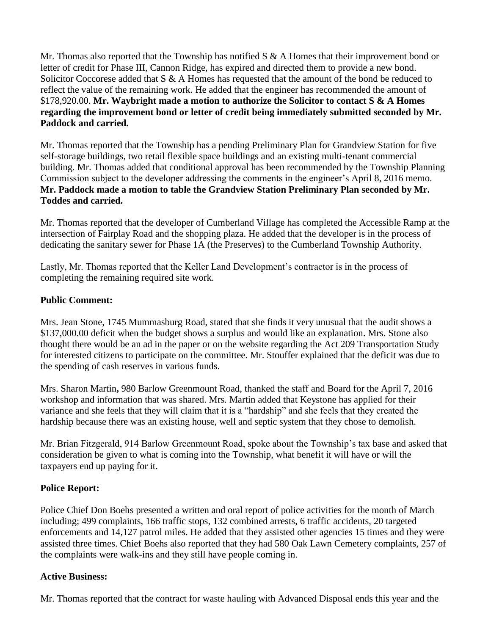Mr. Thomas also reported that the Township has notified S & A Homes that their improvement bond or letter of credit for Phase III, Cannon Ridge, has expired and directed them to provide a new bond. Solicitor Coccorese added that S & A Homes has requested that the amount of the bond be reduced to reflect the value of the remaining work. He added that the engineer has recommended the amount of \$178,920.00. **Mr. Waybright made a motion to authorize the Solicitor to contact S & A Homes regarding the improvement bond or letter of credit being immediately submitted seconded by Mr. Paddock and carried.**

Mr. Thomas reported that the Township has a pending Preliminary Plan for Grandview Station for five self-storage buildings, two retail flexible space buildings and an existing multi-tenant commercial building. Mr. Thomas added that conditional approval has been recommended by the Township Planning Commission subject to the developer addressing the comments in the engineer's April 8, 2016 memo. **Mr. Paddock made a motion to table the Grandview Station Preliminary Plan seconded by Mr. Toddes and carried.**

Mr. Thomas reported that the developer of Cumberland Village has completed the Accessible Ramp at the intersection of Fairplay Road and the shopping plaza. He added that the developer is in the process of dedicating the sanitary sewer for Phase 1A (the Preserves) to the Cumberland Township Authority.

Lastly, Mr. Thomas reported that the Keller Land Development's contractor is in the process of completing the remaining required site work.

## **Public Comment:**

Mrs. Jean Stone, 1745 Mummasburg Road, stated that she finds it very unusual that the audit shows a \$137,000.00 deficit when the budget shows a surplus and would like an explanation. Mrs. Stone also thought there would be an ad in the paper or on the website regarding the Act 209 Transportation Study for interested citizens to participate on the committee. Mr. Stouffer explained that the deficit was due to the spending of cash reserves in various funds.

Mrs. Sharon Martin**,** 980 Barlow Greenmount Road, thanked the staff and Board for the April 7, 2016 workshop and information that was shared. Mrs. Martin added that Keystone has applied for their variance and she feels that they will claim that it is a "hardship" and she feels that they created the hardship because there was an existing house, well and septic system that they chose to demolish.

Mr. Brian Fitzgerald, 914 Barlow Greenmount Road, spoke about the Township's tax base and asked that consideration be given to what is coming into the Township, what benefit it will have or will the taxpayers end up paying for it.

### **Police Report:**

Police Chief Don Boehs presented a written and oral report of police activities for the month of March including; 499 complaints, 166 traffic stops, 132 combined arrests, 6 traffic accidents, 20 targeted enforcements and 14,127 patrol miles. He added that they assisted other agencies 15 times and they were assisted three times. Chief Boehs also reported that they had 580 Oak Lawn Cemetery complaints, 257 of the complaints were walk-ins and they still have people coming in.

# **Active Business:**

Mr. Thomas reported that the contract for waste hauling with Advanced Disposal ends this year and the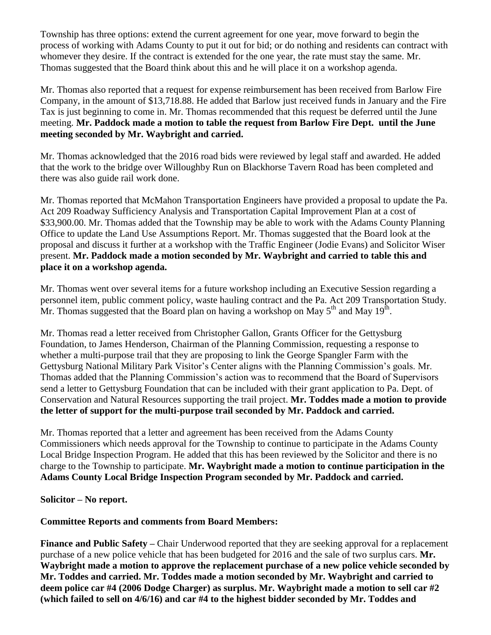Township has three options: extend the current agreement for one year, move forward to begin the process of working with Adams County to put it out for bid; or do nothing and residents can contract with whomever they desire. If the contract is extended for the one year, the rate must stay the same. Mr. Thomas suggested that the Board think about this and he will place it on a workshop agenda.

Mr. Thomas also reported that a request for expense reimbursement has been received from Barlow Fire Company, in the amount of \$13,718.88. He added that Barlow just received funds in January and the Fire Tax is just beginning to come in. Mr. Thomas recommended that this request be deferred until the June meeting. **Mr. Paddock made a motion to table the request from Barlow Fire Dept. until the June meeting seconded by Mr. Waybright and carried.**

Mr. Thomas acknowledged that the 2016 road bids were reviewed by legal staff and awarded. He added that the work to the bridge over Willoughby Run on Blackhorse Tavern Road has been completed and there was also guide rail work done.

Mr. Thomas reported that McMahon Transportation Engineers have provided a proposal to update the Pa. Act 209 Roadway Sufficiency Analysis and Transportation Capital Improvement Plan at a cost of \$33,900.00. Mr. Thomas added that the Township may be able to work with the Adams County Planning Office to update the Land Use Assumptions Report. Mr. Thomas suggested that the Board look at the proposal and discuss it further at a workshop with the Traffic Engineer (Jodie Evans) and Solicitor Wiser present. **Mr. Paddock made a motion seconded by Mr. Waybright and carried to table this and place it on a workshop agenda.**

Mr. Thomas went over several items for a future workshop including an Executive Session regarding a personnel item, public comment policy, waste hauling contract and the Pa. Act 209 Transportation Study. Mr. Thomas suggested that the Board plan on having a workshop on May  $5<sup>th</sup>$  and May  $19<sup>th</sup>$ .

Mr. Thomas read a letter received from Christopher Gallon, Grants Officer for the Gettysburg Foundation, to James Henderson, Chairman of the Planning Commission, requesting a response to whether a multi-purpose trail that they are proposing to link the George Spangler Farm with the Gettysburg National Military Park Visitor's Center aligns with the Planning Commission's goals. Mr. Thomas added that the Planning Commission's action was to recommend that the Board of Supervisors send a letter to Gettysburg Foundation that can be included with their grant application to Pa. Dept. of Conservation and Natural Resources supporting the trail project. **Mr. Toddes made a motion to provide the letter of support for the multi-purpose trail seconded by Mr. Paddock and carried.**

Mr. Thomas reported that a letter and agreement has been received from the Adams County Commissioners which needs approval for the Township to continue to participate in the Adams County Local Bridge Inspection Program. He added that this has been reviewed by the Solicitor and there is no charge to the Township to participate. **Mr. Waybright made a motion to continue participation in the Adams County Local Bridge Inspection Program seconded by Mr. Paddock and carried.** 

### **Solicitor – No report.**

# **Committee Reports and comments from Board Members:**

**Finance and Public Safety –** Chair Underwood reported that they are seeking approval for a replacement purchase of a new police vehicle that has been budgeted for 2016 and the sale of two surplus cars. **Mr. Waybright made a motion to approve the replacement purchase of a new police vehicle seconded by Mr. Toddes and carried. Mr. Toddes made a motion seconded by Mr. Waybright and carried to deem police car #4 (2006 Dodge Charger) as surplus. Mr. Waybright made a motion to sell car #2 (which failed to sell on 4/6/16) and car #4 to the highest bidder seconded by Mr. Toddes and**